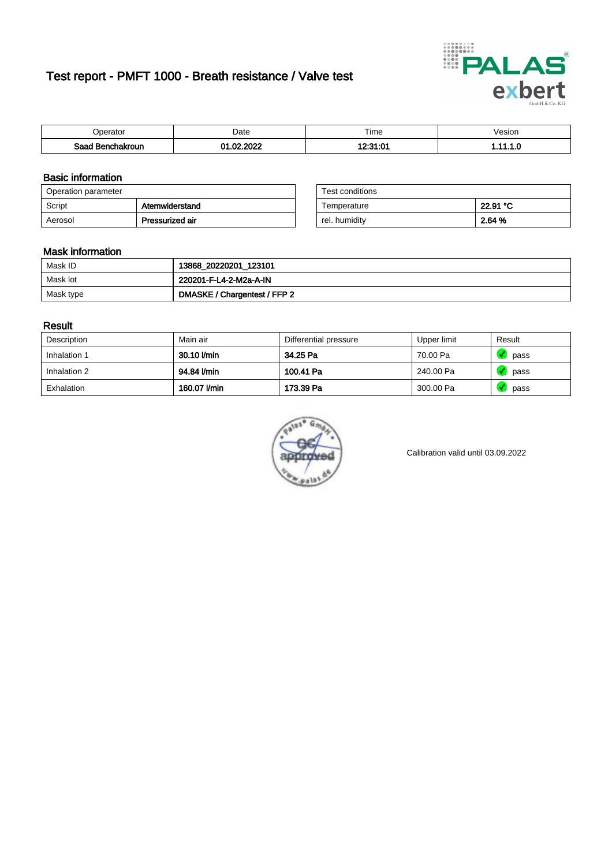# Test report - PMFT 1000 - Breath resistance / Valve test



| )perator               | Date                                      | $- \cdot$<br>Fime | esion |
|------------------------|-------------------------------------------|-------------------|-------|
| המס<br>hakroun<br>saac | 000 <sup>o</sup><br>$\sim$<br>$\sim$<br>w | ,,,,,,,,<br>. . u | .     |

### Basic information

| Operation parameter |                 | Test conditions |          |
|---------------------|-----------------|-----------------|----------|
| Script              | Atemwiderstand  | Temperature     | 22.91 °C |
| Aerosol             | Pressurized air | rel. humidity   | 2.64 %   |

| Test conditions |          |
|-----------------|----------|
| Temperature     | 22.91 °C |
| rel. humidity   | 2.64 %   |

#### Mask information

| Mask ID   | 13868_20220201_123101        |
|-----------|------------------------------|
| Mask lot  | 220201-F-L4-2-M2a-A-IN       |
| Mask type | DMASKE / Chargentest / FFP 2 |

### Result

| Description  | Main air     | Differential pressure | Upper limit | Result |
|--------------|--------------|-----------------------|-------------|--------|
| Inhalation 1 | 30.10 l/min  | 34.25 Pa              | 70.00 Pa    | pass   |
| Inhalation 2 | 94.84 l/min  | 100.41 Pa             | 240.00 Pa   | pass   |
| Exhalation   | 160.07 l/min | 173.39 Pa             | 300.00 Pa   | pass   |



Calibration valid until 03.09.2022